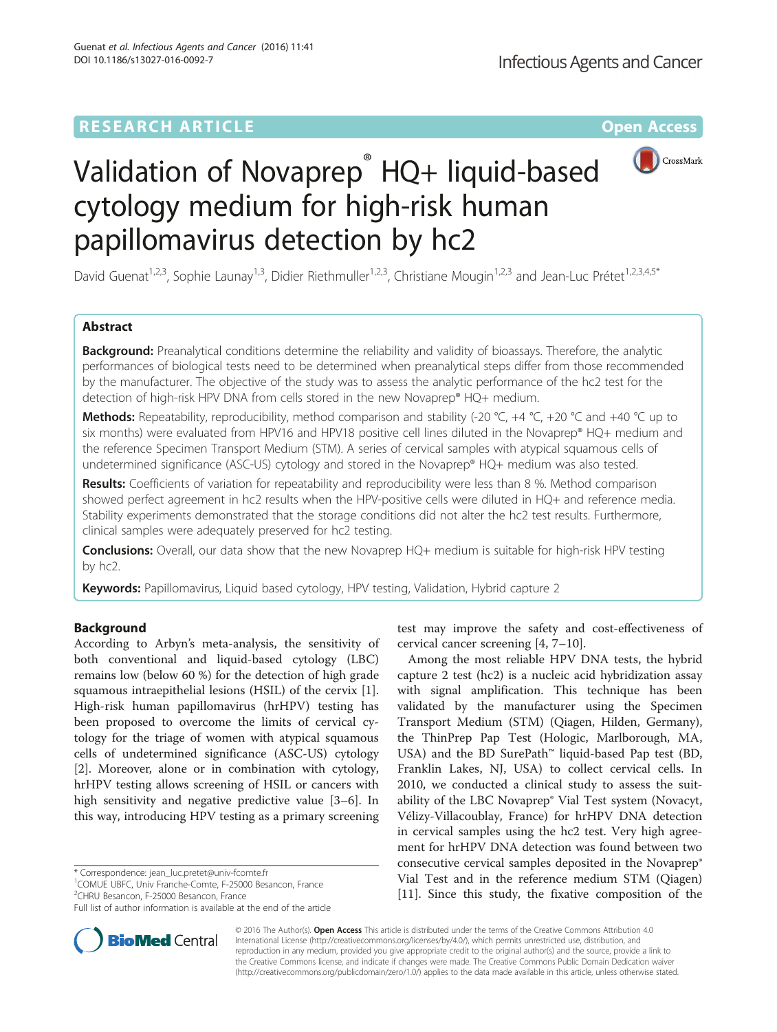# **RESEARCH ARTICLE Example 2014 12:30 The Contract of Contract ACCESS**



# Validation of Novaprep<sup>®</sup> HQ+ liquid-based cytology medium for high-risk human papillomavirus detection by hc2

David Guenat<sup>1,2,3</sup>, Sophie Launay<sup>1,3</sup>, Didier Riethmuller<sup>1,2,3</sup>, Christiane Mougin<sup>1,2,3</sup> and Jean-Luc Prétet<sup>1,2,3,4,5\*</sup>

# Abstract

**Background:** Preanalytical conditions determine the reliability and validity of bioassays. Therefore, the analytic performances of biological tests need to be determined when preanalytical steps differ from those recommended by the manufacturer. The objective of the study was to assess the analytic performance of the hc2 test for the detection of high-risk HPV DNA from cells stored in the new Novaprep® HQ+ medium.

**Methods:** Repeatability, reproducibility, method comparison and stability (-20 °C, +4 °C, +20 °C and +40 °C up to six months) were evaluated from HPV16 and HPV18 positive cell lines diluted in the Novaprep® HQ+ medium and the reference Specimen Transport Medium (STM). A series of cervical samples with atypical squamous cells of undetermined significance (ASC-US) cytology and stored in the Novaprep® HQ+ medium was also tested.

Results: Coefficients of variation for repeatability and reproducibility were less than 8 %. Method comparison showed perfect agreement in hc2 results when the HPV-positive cells were diluted in HQ+ and reference media. Stability experiments demonstrated that the storage conditions did not alter the hc2 test results. Furthermore, clinical samples were adequately preserved for hc2 testing.

**Conclusions:** Overall, our data show that the new Novaprep HQ+ medium is suitable for high-risk HPV testing by hc2.

Keywords: Papillomavirus, Liquid based cytology, HPV testing, Validation, Hybrid capture 2

# Background

According to Arbyn's meta-analysis, the sensitivity of both conventional and liquid-based cytology (LBC) remains low (below 60 %) for the detection of high grade squamous intraepithelial lesions (HSIL) of the cervix [\[1](#page-4-0)]. High-risk human papillomavirus (hrHPV) testing has been proposed to overcome the limits of cervical cytology for the triage of women with atypical squamous cells of undetermined significance (ASC-US) cytology [[2\]](#page-4-0). Moreover, alone or in combination with cytology, hrHPV testing allows screening of HSIL or cancers with high sensitivity and negative predictive value [\[3](#page-4-0)–[6\]](#page-4-0). In this way, introducing HPV testing as a primary screening

\* Correspondence: [jean\\_luc.pretet@univ-fcomte.fr](mailto:jean_luc.pretet@univ-fcomte.fr) <sup>1</sup>

<sup>1</sup> COMUE UBFC, Univ Franche-Comte, F-25000 Besancon, France 2 CHRU Besancon, F-25000 Besancon, France

Full list of author information is available at the end of the article



test may improve the safety and cost-effectiveness of cervical cancer screening [\[4](#page-4-0), [7](#page-4-0)–[10](#page-5-0)].

Among the most reliable HPV DNA tests, the hybrid capture 2 test (hc2) is a nucleic acid hybridization assay with signal amplification. This technique has been validated by the manufacturer using the Specimen Transport Medium (STM) (Qiagen, Hilden, Germany), the ThinPrep Pap Test (Hologic, Marlborough, MA, USA) and the BD SurePath™ liquid-based Pap test (BD, Franklin Lakes, NJ, USA) to collect cervical cells. In 2010, we conducted a clinical study to assess the suitability of the LBC Novaprep® Vial Test system (Novacyt, Vélizy-Villacoublay, France) for hrHPV DNA detection in cervical samples using the hc2 test. Very high agreement for hrHPV DNA detection was found between two consecutive cervical samples deposited in the Novaprep® Vial Test and in the reference medium STM (Qiagen) [[11\]](#page-5-0). Since this study, the fixative composition of the

© 2016 The Author(s). Open Access This article is distributed under the terms of the Creative Commons Attribution 4.0 International License [\(http://creativecommons.org/licenses/by/4.0/](http://creativecommons.org/licenses/by/4.0/)), which permits unrestricted use, distribution, and reproduction in any medium, provided you give appropriate credit to the original author(s) and the source, provide a link to the Creative Commons license, and indicate if changes were made. The Creative Commons Public Domain Dedication waiver [\(http://creativecommons.org/publicdomain/zero/1.0/](http://creativecommons.org/publicdomain/zero/1.0/)) applies to the data made available in this article, unless otherwise stated.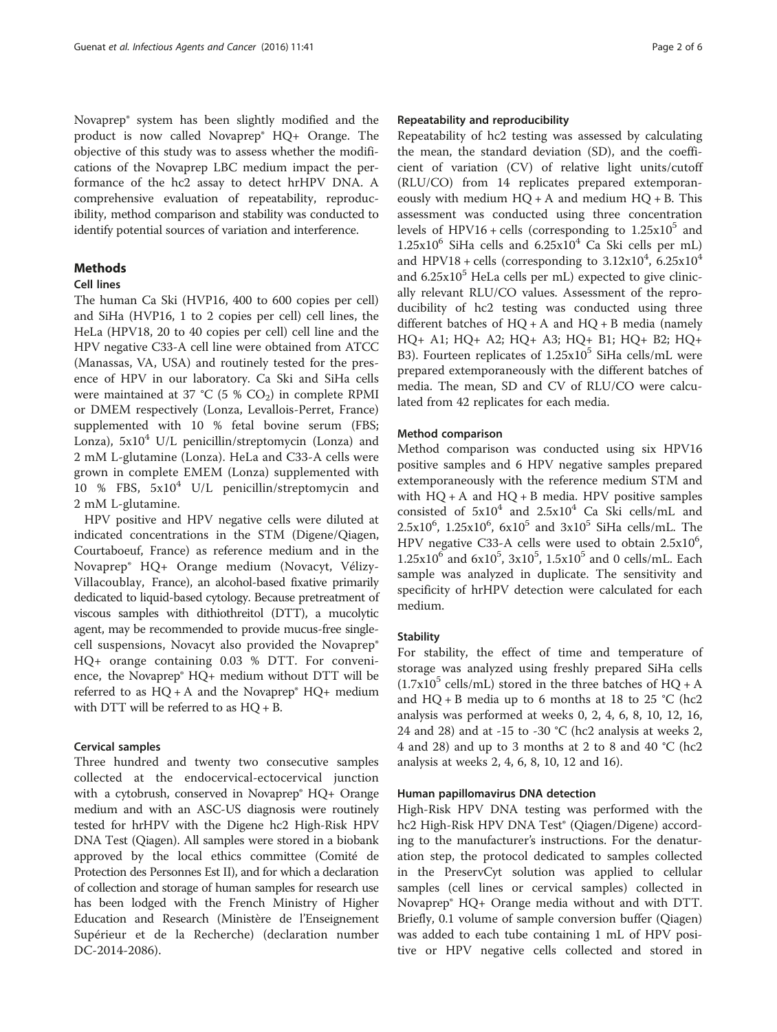Novaprep® system has been slightly modified and the product is now called Novaprep® HQ+ Orange. The objective of this study was to assess whether the modifications of the Novaprep LBC medium impact the performance of the hc2 assay to detect hrHPV DNA. A comprehensive evaluation of repeatability, reproducibility, method comparison and stability was conducted to identify potential sources of variation and interference.

# Methods

# Cell lines

The human Ca Ski (HVP16, 400 to 600 copies per cell) and SiHa (HVP16, 1 to 2 copies per cell) cell lines, the HeLa (HPV18, 20 to 40 copies per cell) cell line and the HPV negative C33-A cell line were obtained from ATCC (Manassas, VA, USA) and routinely tested for the presence of HPV in our laboratory. Ca Ski and SiHa cells were maintained at 37 °C (5 %  $CO<sub>2</sub>$ ) in complete RPMI or DMEM respectively (Lonza, Levallois-Perret, France) supplemented with 10 % fetal bovine serum (FBS; Lonza),  $5x10^4$  U/L penicillin/streptomycin (Lonza) and 2 mM L-glutamine (Lonza). HeLa and C33-A cells were grown in complete EMEM (Lonza) supplemented with 10 % FBS,  $5x10^4$  U/L penicillin/streptomycin and 2 mM L-glutamine.

HPV positive and HPV negative cells were diluted at indicated concentrations in the STM (Digene/Qiagen, Courtaboeuf, France) as reference medium and in the Novaprep® HQ+ Orange medium (Novacyt, Vélizy-Villacoublay, France), an alcohol-based fixative primarily dedicated to liquid-based cytology. Because pretreatment of viscous samples with dithiothreitol (DTT), a mucolytic agent, may be recommended to provide mucus-free singlecell suspensions, Novacyt also provided the Novaprep® HQ+ orange containing 0.03 % DTT. For convenience, the Novaprep® HQ+ medium without DTT will be referred to as  $HQ + A$  and the Novaprep®  $HQ +$  medium with DTT will be referred to as HQ + B.

# Cervical samples

Three hundred and twenty two consecutive samples collected at the endocervical-ectocervical junction with a cytobrush, conserved in Novaprep<sup>®</sup> HQ+ Orange medium and with an ASC-US diagnosis were routinely tested for hrHPV with the Digene hc2 High-Risk HPV DNA Test (Qiagen). All samples were stored in a biobank approved by the local ethics committee (Comité de Protection des Personnes Est II), and for which a declaration of collection and storage of human samples for research use has been lodged with the French Ministry of Higher Education and Research (Ministère de l'Enseignement Supérieur et de la Recherche) (declaration number DC-2014-2086).

# Repeatability and reproducibility

Repeatability of hc2 testing was assessed by calculating the mean, the standard deviation (SD), and the coefficient of variation (CV) of relative light units/cutoff (RLU/CO) from 14 replicates prepared extemporaneously with medium  $HQ + A$  and medium  $HQ + B$ . This assessment was conducted using three concentration levels of HPV16 + cells (corresponding to  $1.25x10^5$  and  $1.25x10^6$  SiHa cells and  $6.25x10^4$  Ca Ski cells per mL) and HPV18 + cells (corresponding to  $3.12 \times 10^4$ ,  $6.25 \times 10^4$ and  $6.25x10^5$  HeLa cells per mL) expected to give clinically relevant RLU/CO values. Assessment of the reproducibility of hc2 testing was conducted using three different batches of  $HQ + A$  and  $HQ + B$  media (namely HQ+ A1; HQ+ A2; HQ+ A3; HQ+ B1; HQ+ B2; HQ+ B3). Fourteen replicates of  $1.25x10^5$  SiHa cells/mL were prepared extemporaneously with the different batches of media. The mean, SD and CV of RLU/CO were calculated from 42 replicates for each media.

# Method comparison

Method comparison was conducted using six HPV16 positive samples and 6 HPV negative samples prepared extemporaneously with the reference medium STM and with  $HQ + A$  and  $HQ + B$  media. HPV positive samples consisted of  $5x10^4$  and  $2.5x10^4$  Ca Ski cells/mL and  $2.5x10^6$ ,  $1.25x10^6$ ,  $6x10^5$  and  $3x10^5$  SiHa cells/mL. The HPV negative C33-A cells were used to obtain  $2.5 \times 10^6$ ,  $1.25x10^6$  and  $6x10^5$ ,  $3x10^5$ ,  $1.5x10^5$  and 0 cells/mL. Each sample was analyzed in duplicate. The sensitivity and specificity of hrHPV detection were calculated for each medium.

## **Stability**

For stability, the effect of time and temperature of storage was analyzed using freshly prepared SiHa cells  $(1.7x10^5 \text{ cells/mL})$  stored in the three batches of HQ + A and  $HQ + B$  media up to 6 months at 18 to 25 °C (hc2 analysis was performed at weeks 0, 2, 4, 6, 8, 10, 12, 16, 24 and 28) and at -15 to -30  $°C$  (hc2 analysis at weeks 2, 4 and 28) and up to 3 months at 2 to 8 and 40 °C (hc2 analysis at weeks 2, 4, 6, 8, 10, 12 and 16).

### Human papillomavirus DNA detection

High-Risk HPV DNA testing was performed with the hc2 High-Risk HPV DNA Test® (Qiagen/Digene) according to the manufacturer's instructions. For the denaturation step, the protocol dedicated to samples collected in the PreservCyt solution was applied to cellular samples (cell lines or cervical samples) collected in Novaprep® HQ+ Orange media without and with DTT. Briefly, 0.1 volume of sample conversion buffer (Qiagen) was added to each tube containing 1 mL of HPV positive or HPV negative cells collected and stored in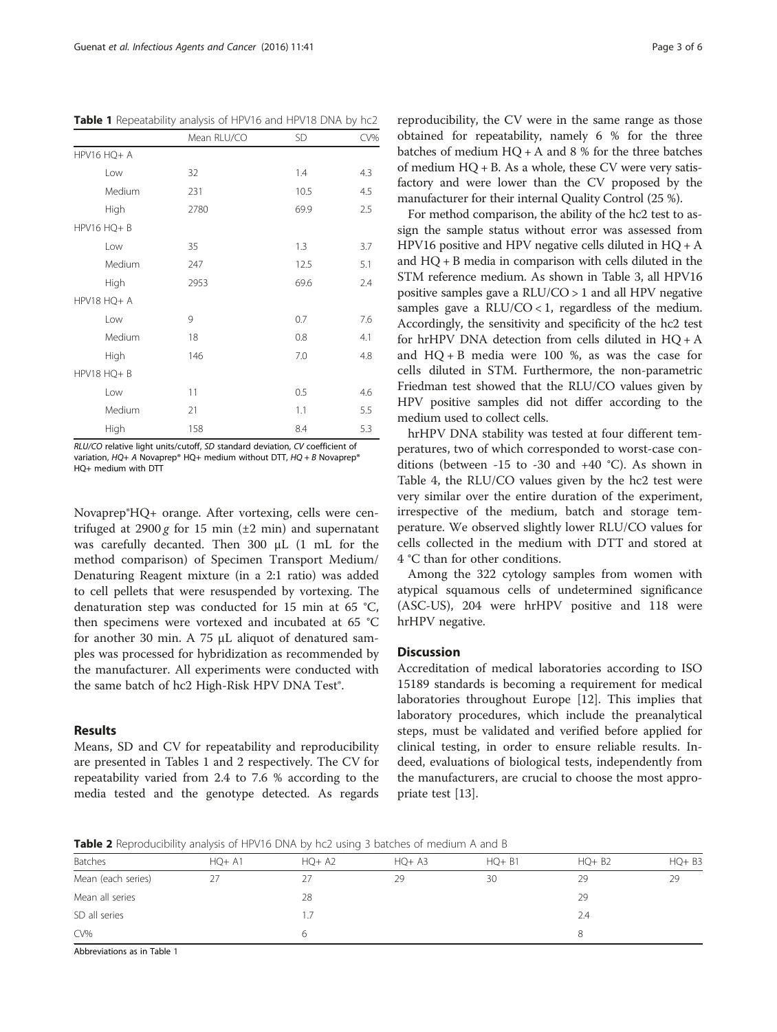|             | Mean RLU/CO | <b>SD</b> | CV% |
|-------------|-------------|-----------|-----|
| HPV16 HQ+ A |             |           |     |
| Low         | 32          | 1.4       | 4.3 |
| Medium      | 231         | 10.5      | 4.5 |
| High        | 2780        | 69.9      | 2.5 |
| HPV16 HQ+ B |             |           |     |
| Low         | 35          | 1.3       | 3.7 |
| Medium      | 247         | 12.5      | 5.1 |
| High        | 2953        | 69.6      | 2.4 |
| HPV18 HQ+ A |             |           |     |
| Low         | 9           | 0.7       | 7.6 |
| Medium      | 18          | 0.8       | 4.1 |
| High        | 146         | 7.0       | 4.8 |
| HPV18 HQ+ B |             |           |     |
| Low         | 11          | 0.5       | 4.6 |
| Medium      | 21          | 1.1       | 5.5 |
| High        | 158         | 8.4       | 5.3 |

Table 1 Repeatability analysis of HPV16 and HPV18 DNA by hc2

RLU/CO relative light units/cutoff, SD standard deviation, CV coefficient of variation,  $HQ+ A$  Novaprep® HQ+ medium without DTT,  $HQ + B$  Novaprep® HQ+ medium with DTT

Novaprep®HQ+ orange. After vortexing, cells were centrifuged at 2900 g for 15 min ( $\pm$ 2 min) and supernatant was carefully decanted. Then 300 μL (1 mL for the method comparison) of Specimen Transport Medium/ Denaturing Reagent mixture (in a 2:1 ratio) was added to cell pellets that were resuspended by vortexing. The denaturation step was conducted for 15 min at 65 °C, then specimens were vortexed and incubated at 65 °C for another 30 min. A 75 μL aliquot of denatured samples was processed for hybridization as recommended by the manufacturer. All experiments were conducted with the same batch of hc2 High-Risk HPV DNA Test<sup>®</sup>.

## Results

Means, SD and CV for repeatability and reproducibility are presented in Tables 1 and 2 respectively. The CV for repeatability varied from 2.4 to 7.6 % according to the media tested and the genotype detected. As regards

reproducibility, the CV were in the same range as those obtained for repeatability, namely 6 % for the three batches of medium  $HO + A$  and 8 % for the three batches of medium HQ + B. As a whole, these CV were very satisfactory and were lower than the CV proposed by the manufacturer for their internal Quality Control (25 %).

For method comparison, the ability of the hc2 test to assign the sample status without error was assessed from HPV16 positive and HPV negative cells diluted in HQ + A and HQ + B media in comparison with cells diluted in the STM reference medium. As shown in Table [3](#page-3-0), all HPV16 positive samples gave a RLU/CO > 1 and all HPV negative samples gave a  $RLU/CO < 1$ , regardless of the medium. Accordingly, the sensitivity and specificity of the hc2 test for hrHPV DNA detection from cells diluted in HQ + A and  $HQ + B$  media were 100 %, as was the case for cells diluted in STM. Furthermore, the non-parametric Friedman test showed that the RLU/CO values given by HPV positive samples did not differ according to the medium used to collect cells.

hrHPV DNA stability was tested at four different temperatures, two of which corresponded to worst-case conditions (between -15 to -30 and +40 °C). As shown in Table [4,](#page-3-0) the RLU/CO values given by the hc2 test were very similar over the entire duration of the experiment, irrespective of the medium, batch and storage temperature. We observed slightly lower RLU/CO values for cells collected in the medium with DTT and stored at 4 °C than for other conditions.

Among the 322 cytology samples from women with atypical squamous cells of undetermined significance (ASC-US), 204 were hrHPV positive and 118 were hrHPV negative.

## **Discussion**

Accreditation of medical laboratories according to ISO 15189 standards is becoming a requirement for medical laboratories throughout Europe [[12](#page-5-0)]. This implies that laboratory procedures, which include the preanalytical steps, must be validated and verified before applied for clinical testing, in order to ensure reliable results. Indeed, evaluations of biological tests, independently from the manufacturers, are crucial to choose the most appropriate test [[13\]](#page-5-0).

Table 2 Reproducibility analysis of HPV16 DNA by hc2 using 3 batches of medium A and B

| Batches            | $HO+ A1$ | $HQ+ A2$ | $HO+ A3$ | $HQ + B1$ | $HQ + B2$ | $HQ + B3$ |
|--------------------|----------|----------|----------|-----------|-----------|-----------|
| Mean (each series) | 27       |          | 29       | 30        | 29        | 29        |
| Mean all series    |          | 28       |          |           | 29        |           |
| SD all series      |          |          |          |           | 2.4       |           |
| CV%                |          |          |          |           |           |           |
|                    |          |          |          |           |           |           |

Abbreviations as in Table 1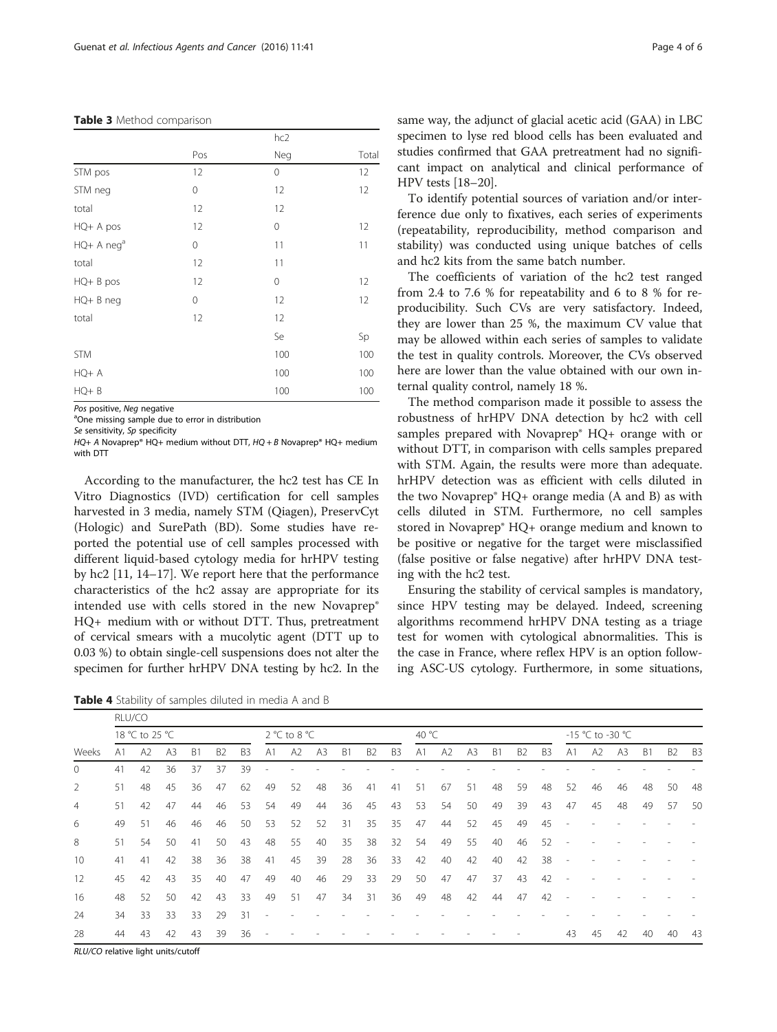#### <span id="page-3-0"></span>Table 3 Method comparison

|                        |     | hc2 |       |
|------------------------|-----|-----|-------|
|                        | Pos | Neg | Total |
| STM pos                | 12  | 0   | 12    |
| STM neg                | 0   | 12  | 12    |
| total                  | 12  | 12  |       |
| HQ+ A pos              | 12  | 0   | 12    |
| HQ+ A neg <sup>a</sup> | 0   | 11  | 11    |
| total                  | 12  | 11  |       |
| $HQ + B$ pos           | 12  | 0   | 12    |
| HQ+ B neg              | 0   | 12  | 12    |
| total                  | 12  | 12  |       |
|                        |     | Se  | Sp    |
| <b>STM</b>             |     | 100 | 100   |
| $HQ+A$                 |     | 100 | 100   |
| $HQ + B$               |     | 100 | 100   |

Pos positive, Neg negative

<sup>a</sup>One missing sample due to error in distribution

Se sensitivity, Sp specificity

 $HQ + A$  Novaprep® HQ+ medium without DTT,  $HQ + B$  Novaprep® HQ+ medium with DTT

According to the manufacturer, the hc2 test has CE In Vitro Diagnostics (IVD) certification for cell samples harvested in 3 media, namely STM (Qiagen), PreservCyt (Hologic) and SurePath (BD). Some studies have reported the potential use of cell samples processed with different liquid-based cytology media for hrHPV testing by hc2 [[11](#page-5-0), [14](#page-5-0)–[17](#page-5-0)]. We report here that the performance characteristics of the hc2 assay are appropriate for its intended use with cells stored in the new Novaprep® HQ+ medium with or without DTT. Thus, pretreatment of cervical smears with a mucolytic agent (DTT up to 0.03 %) to obtain single-cell suspensions does not alter the specimen for further hrHPV DNA testing by hc2. In the

Table 4 Stability of samples diluted in media A and B

same way, the adjunct of glacial acetic acid (GAA) in LBC specimen to lyse red blood cells has been evaluated and studies confirmed that GAA pretreatment had no significant impact on analytical and clinical performance of HPV tests [[18](#page-5-0)–[20\]](#page-5-0).

To identify potential sources of variation and/or interference due only to fixatives, each series of experiments (repeatability, reproducibility, method comparison and stability) was conducted using unique batches of cells and hc2 kits from the same batch number.

The coefficients of variation of the hc2 test ranged from 2.4 to 7.6 % for repeatability and 6 to 8 % for reproducibility. Such CVs are very satisfactory. Indeed, they are lower than 25 %, the maximum CV value that may be allowed within each series of samples to validate the test in quality controls. Moreover, the CVs observed here are lower than the value obtained with our own internal quality control, namely 18 %.

The method comparison made it possible to assess the robustness of hrHPV DNA detection by hc2 with cell samples prepared with Novaprep® HQ+ orange with or without DTT, in comparison with cells samples prepared with STM. Again, the results were more than adequate. hrHPV detection was as efficient with cells diluted in the two Novaprep $^{\circ}$  HQ+ orange media (A and B) as with cells diluted in STM. Furthermore, no cell samples stored in Novaprep® HQ+ orange medium and known to be positive or negative for the target were misclassified (false positive or false negative) after hrHPV DNA testing with the hc2 test.

Ensuring the stability of cervical samples is mandatory, since HPV testing may be delayed. Indeed, screening algorithms recommend hrHPV DNA testing as a triage test for women with cytological abnormalities. This is the case in France, where reflex HPV is an option following ASC-US cytology. Furthermore, in some situations,

| Weeks          |                | RLU/CO |    |           |                |                |                |              |                |                |                |                |                |    |                |                |                |                  |                |    |                |                |                |                |
|----------------|----------------|--------|----|-----------|----------------|----------------|----------------|--------------|----------------|----------------|----------------|----------------|----------------|----|----------------|----------------|----------------|------------------|----------------|----|----------------|----------------|----------------|----------------|
|                | 18 °C to 25 °C |        |    |           |                |                |                | 2 °C to 8 °C |                |                |                |                | 40 °C          |    |                |                |                | -15 °C to -30 °C |                |    |                |                |                |                |
|                | A <sub>1</sub> | A2     | A3 | <b>B1</b> | B <sub>2</sub> | B <sub>3</sub> | A <sub>1</sub> | A2           | A <sub>3</sub> | B <sub>1</sub> | B <sub>2</sub> | B <sub>3</sub> | A <sub>1</sub> | A2 | A <sub>3</sub> | B <sub>1</sub> | B <sub>2</sub> | B <sub>3</sub>   | A <sub>1</sub> | A2 | A <sub>3</sub> | B <sub>1</sub> | B <sub>2</sub> | B <sub>3</sub> |
| $\mathbf{0}$   | 41             | 42     | 36 | 37        | 37             | 39             |                |              |                |                |                |                |                |    |                |                |                |                  |                |    |                |                |                |                |
| 2              | 51             | 48     | 45 | 36        | 47             | 62             | 49             | 52           | 48             | 36             | 41             | 41             | 51             | 67 | 51             | 48             | 59             | 48               | 52             | 46 | 46             | 48             | 50             | 48             |
| $\overline{4}$ | 51             | 42     | 47 | 44        | 46             | 53             | 54             | 49           | 44             | 36             | 45             | 43             | 53             | 54 | 50             | 49             | 39             | 43               | 47             | 45 | 48             | 49             | 57             | 50             |
| 6              | 49             | 51     | 46 | 46        | 46             | 50             | 53             | 52           | 52             | 31             | 35             | 35             | 47             | 44 | 52             | 45             | 49             | 45               |                |    |                |                |                |                |
| 8              | 51             | 54     | 50 | 41        | 50             | 43             | 48             | 55           | 40             | 35             | 38             | 32             | 54             | 49 | 55             | 40             | 46             | 52               |                |    |                |                |                |                |
| 10             | 41             | 41     | 42 | 38        | 36             | 38             | 41             | 45           | 39             | 28             | 36             | 33             | 42             | 40 | 42             | 40             | 42             | 38               |                |    |                |                |                |                |
| 12             | 45             | 42     | 43 | 35        | 40             | 47             | 49             | 40           | 46             | 29             | 33             | 29             | 50             | 47 | 47             | 37             | 43             | 42               |                |    |                |                |                |                |
| 16             | 48             | 52     | 50 | 42        | 43             | 33             | 49             | 51           | 47             | 34             | 31             | 36             | 49             | 48 | 42             | 44             | 47             | 42               |                |    |                |                |                |                |
| 24             | 34             | 33     | 33 | 33        | 29             | 31             |                |              |                |                |                |                |                |    |                |                |                |                  |                |    |                |                |                |                |
| 28             | 44             | 43     | 42 | 43        | 39             | 36             |                |              |                |                |                |                |                |    |                |                |                |                  | 43             | 45 | 42             | 40             | 40             | 43             |
|                |                |        |    |           |                |                |                |              |                |                |                |                |                |    |                |                |                |                  |                |    |                |                |                |                |

RLU/CO relative light units/cutoff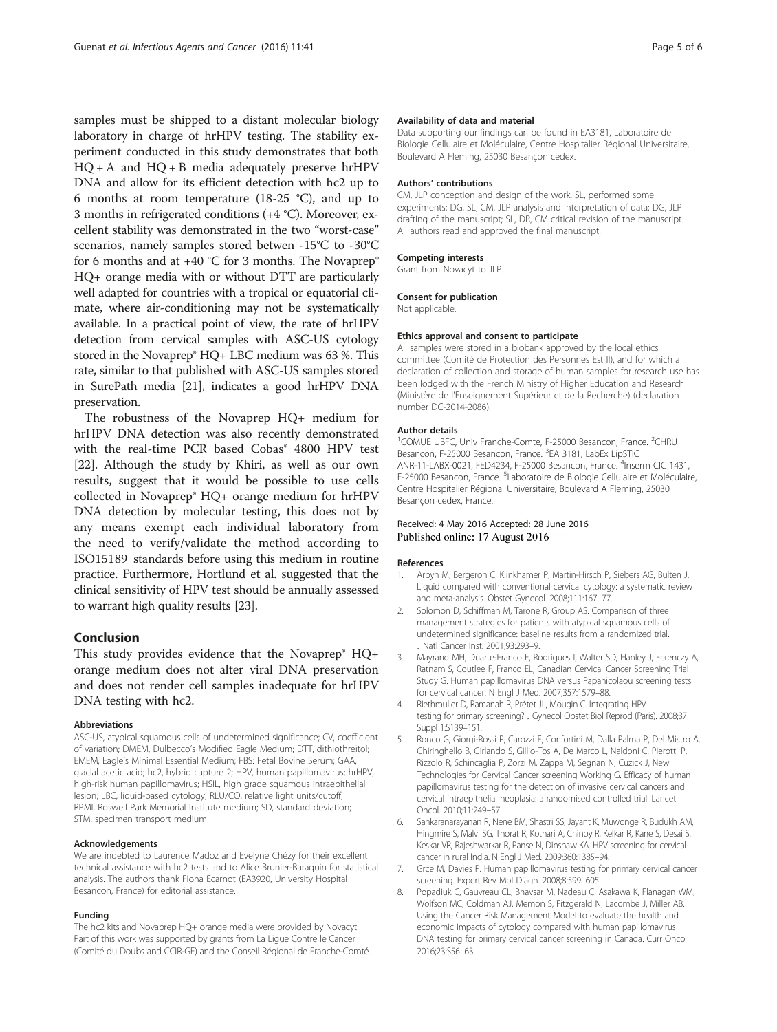<span id="page-4-0"></span>samples must be shipped to a distant molecular biology laboratory in charge of hrHPV testing. The stability experiment conducted in this study demonstrates that both  $HQ + A$  and  $HQ + B$  media adequately preserve hrHPV DNA and allow for its efficient detection with hc2 up to 6 months at room temperature (18-25 °C), and up to 3 months in refrigerated conditions (+4 °C). Moreover, excellent stability was demonstrated in the two "worst-case" scenarios, namely samples stored betwen -15°C to -30°C for 6 months and at  $+40$  °C for 3 months. The Novaprep® HQ+ orange media with or without DTT are particularly well adapted for countries with a tropical or equatorial climate, where air-conditioning may not be systematically available. In a practical point of view, the rate of hrHPV detection from cervical samples with ASC-US cytology stored in the Novaprep® HQ+ LBC medium was 63 %. This rate, similar to that published with ASC-US samples stored in SurePath media [\[21\]](#page-5-0), indicates a good hrHPV DNA preservation.

The robustness of the Novaprep HQ+ medium for hrHPV DNA detection was also recently demonstrated with the real-time PCR based Cobas® 4800 HPV test [[22\]](#page-5-0). Although the study by Khiri, as well as our own results, suggest that it would be possible to use cells collected in Novaprep® HQ+ orange medium for hrHPV DNA detection by molecular testing, this does not by any means exempt each individual laboratory from the need to verify/validate the method according to ISO15189 standards before using this medium in routine practice. Furthermore, Hortlund et al. suggested that the clinical sensitivity of HPV test should be annually assessed to warrant high quality results [[23](#page-5-0)].

## Conclusion

This study provides evidence that the Novaprep® HQ+ orange medium does not alter viral DNA preservation and does not render cell samples inadequate for hrHPV DNA testing with hc2.

### Abbreviations

ASC-US, atypical squamous cells of undetermined significance; CV, coefficient of variation; DMEM, Dulbecco's Modified Eagle Medium; DTT, dithiothreitol; EMEM, Eagle's Minimal Essential Medium; FBS: Fetal Bovine Serum; GAA, glacial acetic acid; hc2, hybrid capture 2; HPV, human papillomavirus; hrHPV, high-risk human papillomavirus; HSIL, high grade squamous intraepithelial lesion; LBC, liquid-based cytology; RLU/CO, relative light units/cutoff; RPMI, Roswell Park Memorial Institute medium; SD, standard deviation; STM, specimen transport medium

#### Acknowledgements

We are indebted to Laurence Madoz and Evelyne Chézy for their excellent technical assistance with hc2 tests and to Alice Brunier-Baraquin for statistical analysis. The authors thank Fiona Ecarnot (EA3920, University Hospital Besancon, France) for editorial assistance.

#### Funding

The hc2 kits and Novaprep HQ+ orange media were provided by Novacyt. Part of this work was supported by grants from La Ligue Contre le Cancer (Comité du Doubs and CCIR-GE) and the Conseil Régional de Franche-Comté.

### Availability of data and material

Data supporting our findings can be found in EA3181, Laboratoire de Biologie Cellulaire et Moléculaire, Centre Hospitalier Régional Universitaire, Boulevard A Fleming, 25030 Besançon cedex.

#### Authors' contributions

CM, JLP conception and design of the work, SL, performed some experiments; DG, SL, CM, JLP analysis and interpretation of data; DG, JLP drafting of the manuscript; SL, DR, CM critical revision of the manuscript. All authors read and approved the final manuscript.

#### Competing interests

Grant from Novacyt to JLP.

# Consent for publication

Not applicable.

#### Ethics approval and consent to participate

All samples were stored in a biobank approved by the local ethics committee (Comité de Protection des Personnes Est II), and for which a declaration of collection and storage of human samples for research use has been lodged with the French Ministry of Higher Education and Research (Ministère de l'Enseignement Supérieur et de la Recherche) (declaration number DC-2014-2086).

#### Author details

<sup>1</sup>COMUE UBFC, Univ Franche-Comte, F-25000 Besancon, France. <sup>2</sup>CHRU Besancon, F-25000 Besancon, France. <sup>3</sup>EA 3181, LabEx LipSTIC ANR-11-LABX-0021, FED4234, F-25000 Besancon, France. <sup>4</sup>Inserm CIC 1431, F-25000 Besancon, France. <sup>5</sup>Laboratoire de Biologie Cellulaire et Moléculaire Centre Hospitalier Régional Universitaire, Boulevard A Fleming, 25030 Besançon cedex, France.

## Received: 4 May 2016 Accepted: 28 June 2016 Published online: 17 August 2016

#### References

- 1. Arbyn M, Bergeron C, Klinkhamer P, Martin-Hirsch P, Siebers AG, Bulten J. Liquid compared with conventional cervical cytology: a systematic review and meta-analysis. Obstet Gynecol. 2008;111:167–77.
- 2. Solomon D, Schiffman M, Tarone R, Group AS. Comparison of three management strategies for patients with atypical squamous cells of undetermined significance: baseline results from a randomized trial. J Natl Cancer Inst. 2001;93:293–9.
- 3. Mayrand MH, Duarte-Franco E, Rodrigues I, Walter SD, Hanley J, Ferenczy A, Ratnam S, Coutlee F, Franco EL, Canadian Cervical Cancer Screening Trial Study G. Human papillomavirus DNA versus Papanicolaou screening tests for cervical cancer. N Engl J Med. 2007;357:1579–88.
- 4. Riethmuller D, Ramanah R, Prétet JL, Mougin C. Integrating HPV testing for primary screening? J Gynecol Obstet Biol Reprod (Paris). 2008;37 Suppl 1:S139–151.
- 5. Ronco G, Giorgi-Rossi P, Carozzi F, Confortini M, Dalla Palma P, Del Mistro A, Ghiringhello B, Girlando S, Gillio-Tos A, De Marco L, Naldoni C, Pierotti P, Rizzolo R, Schincaglia P, Zorzi M, Zappa M, Segnan N, Cuzick J, New Technologies for Cervical Cancer screening Working G. Efficacy of human papillomavirus testing for the detection of invasive cervical cancers and cervical intraepithelial neoplasia: a randomised controlled trial. Lancet Oncol. 2010;11:249–57.
- 6. Sankaranarayanan R, Nene BM, Shastri SS, Jayant K, Muwonge R, Budukh AM, Hingmire S, Malvi SG, Thorat R, Kothari A, Chinoy R, Kelkar R, Kane S, Desai S, Keskar VR, Rajeshwarkar R, Panse N, Dinshaw KA. HPV screening for cervical cancer in rural India. N Engl J Med. 2009;360:1385–94.
- 7. Grce M, Davies P. Human papillomavirus testing for primary cervical cancer screening. Expert Rev Mol Diagn. 2008;8:599–605.
- 8. Popadiuk C, Gauvreau CL, Bhavsar M, Nadeau C, Asakawa K, Flanagan WM, Wolfson MC, Coldman AJ, Memon S, Fitzgerald N, Lacombe J, Miller AB. Using the Cancer Risk Management Model to evaluate the health and economic impacts of cytology compared with human papillomavirus DNA testing for primary cervical cancer screening in Canada. Curr Oncol. 2016;23:S56–63.